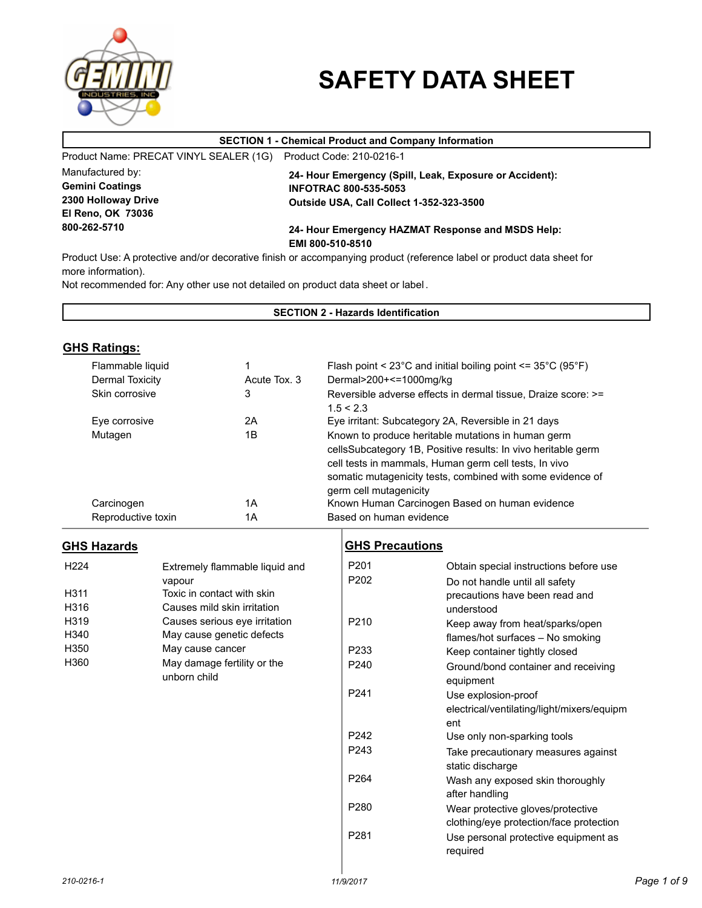

# **SAFETY DATA SHEET**

#### **SECTION 1 - Chemical Product and Company Information**

Product Name: PRECAT VINYL SEALER (1G) Product Code: 210-0216-1

Manufactured by: **Gemini Coatings 2300 Holloway Drive El Reno, OK 73036 800-262-5710**

**24- Hour Emergency (Spill, Leak, Exposure or Accident): INFOTRAC 800-535-5053 Outside USA, Call Collect 1-352-323-3500**

# **24- Hour Emergency HAZMAT Response and MSDS Help: EMI 800-510-8510**

Product Use: A protective and/or decorative finish or accompanying product (reference label or product data sheet for more information).

Not recommended for: Any other use not detailed on product data sheet or label .

#### **SECTION 2 - Hazards Identification**

# **GHS Ratings:**

| Flammable liquid<br>Dermal Toxicity | Acute Tox, 3 | Flash point < $23^{\circ}$ C and initial boiling point <= $35^{\circ}$ C (95 $^{\circ}$ F)<br>Dermal>200+<=1000mg/kg                                                                                                                                                 |
|-------------------------------------|--------------|----------------------------------------------------------------------------------------------------------------------------------------------------------------------------------------------------------------------------------------------------------------------|
| Skin corrosive                      | 3            | Reversible adverse effects in dermal tissue, Draize score: >=<br>1.5 < 2.3                                                                                                                                                                                           |
| Eye corrosive                       | 2Α           | Eye irritant: Subcategory 2A, Reversible in 21 days                                                                                                                                                                                                                  |
| Mutagen                             | 1В           | Known to produce heritable mutations in human germ<br>cellsSubcategory 1B, Positive results: In vivo heritable germ<br>cell tests in mammals, Human germ cell tests, In vivo<br>somatic mutagenicity tests, combined with some evidence of<br>germ cell mutagenicity |
| Carcinogen                          | 1A           | Known Human Carcinogen Based on human evidence                                                                                                                                                                                                                       |
| Reproductive toxin                  | 1Α           | Based on human evidence                                                                                                                                                                                                                                              |

#### **GHS Hazards**

| H <sub>224</sub> | Extremely flammable liquid and              |
|------------------|---------------------------------------------|
|                  | vapour                                      |
| H311             | Toxic in contact with skin                  |
| H316             | Causes mild skin irritation                 |
| H <sub>319</sub> | Causes serious eye irritation               |
| H340             | May cause genetic defects                   |
| H <sub>350</sub> | May cause cancer                            |
| H360             | May damage fertility or the<br>unborn child |
|                  |                                             |

# **GHS Precautions**

| P <sub>201</sub> | Obtain special instructions before use     |
|------------------|--------------------------------------------|
| P <sub>202</sub> | Do not handle until all safety             |
|                  | precautions have been read and             |
|                  | understood                                 |
| P <sub>210</sub> | Keep away from heat/sparks/open            |
|                  | flames/hot surfaces - No smoking           |
| P233             | Keep container tightly closed              |
| P <sub>240</sub> | Ground/bond container and receiving        |
|                  | equipment                                  |
| P <sub>241</sub> | Use explosion-proof                        |
|                  | electrical/ventilating/light/mixers/equipm |
|                  | ent                                        |
| P <sub>242</sub> | Use only non-sparking tools                |
| P <sub>243</sub> | Take precautionary measures against        |
|                  | static discharge                           |
| P <sub>264</sub> | Wash any exposed skin thoroughly           |
|                  | after handling                             |
| P <sub>280</sub> | Wear protective gloves/protective          |
|                  | clothing/eye protection/face protection    |
| P281             | Use personal protective equipment as       |
|                  | required                                   |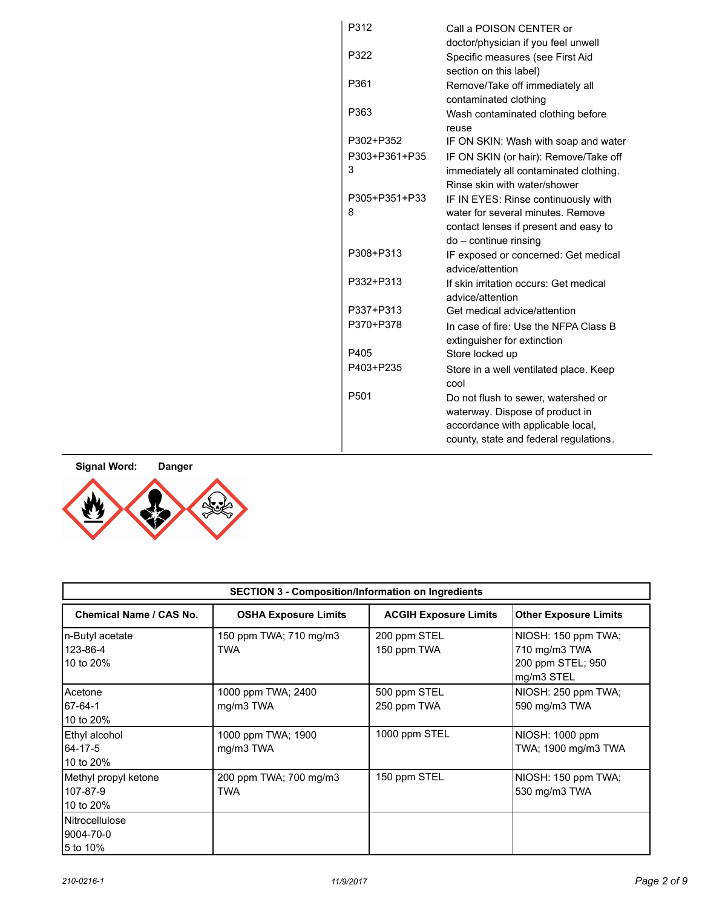| P312             | Call a POISON CENTER or                |
|------------------|----------------------------------------|
|                  | doctor/physician if you feel unwell    |
| P322             | Specific measures (see First Aid       |
|                  | section on this label)                 |
| P361             | Remove/Take off immediately all        |
|                  | contaminated clothing                  |
| P363             | Wash contaminated clothing before      |
|                  | reuse                                  |
| P302+P352        | IF ON SKIN: Wash with soap and water   |
| P303+P361+P35    | IF ON SKIN (or hair): Remove/Take off  |
| 3                | immediately all contaminated clothing. |
|                  | Rinse skin with water/shower           |
| P305+P351+P33    | IF IN EYES: Rinse continuously with    |
| 8                | water for several minutes. Remove      |
|                  | contact lenses if present and easy to  |
|                  | $do$ – continue rinsing                |
| P308+P313        | IF exposed or concerned: Get medical   |
|                  | advice/attention                       |
| P332+P313        | If skin irritation occurs: Get medical |
|                  | advice/attention                       |
| P337+P313        | Get medical advice/attention           |
| P370+P378        | In case of fire: Use the NFPA Class B  |
|                  | extinguisher for extinction            |
| P405             | Store locked up                        |
| P403+P235        | Store in a well ventilated place. Keep |
|                  | cool                                   |
| P <sub>501</sub> | Do not flush to sewer, watershed or    |
|                  | waterway. Dispose of product in        |
|                  | accordance with applicable local,      |
|                  | county, state and federal regulations. |
|                  |                                        |



| <b>SECTION 3 - Composition/Information on Ingredients</b> |                                      |                              |                                                                         |
|-----------------------------------------------------------|--------------------------------------|------------------------------|-------------------------------------------------------------------------|
| <b>Chemical Name / CAS No.</b>                            | <b>OSHA Exposure Limits</b>          | <b>ACGIH Exposure Limits</b> | <b>Other Exposure Limits</b>                                            |
| In-Butyl acetate<br>123-86-4<br>10 to 20%                 | 150 ppm TWA; 710 mg/m3<br><b>TWA</b> | 200 ppm STEL<br>150 ppm TWA  | NIOSH: 150 ppm TWA;<br>710 mg/m3 TWA<br>200 ppm STEL; 950<br>mg/m3 STEL |
| lAcetone<br>67-64-1<br>10 to 20%                          | 1000 ppm TWA; 2400<br>mg/m3 TWA      | 500 ppm STEL<br>250 ppm TWA  | NIOSH: 250 ppm TWA;<br>590 mg/m3 TWA                                    |
| Ethyl alcohol<br>64-17-5<br>10 to 20%                     | 1000 ppm TWA; 1900<br>mg/m3 TWA      | 1000 ppm STEL                | NIOSH: 1000 ppm<br>TWA; 1900 mg/m3 TWA                                  |
| Methyl propyl ketone<br>107-87-9<br>10 to 20%             | 200 ppm TWA; 700 mg/m3<br><b>TWA</b> | 150 ppm STEL                 | INIOSH: 150 ppm TWA;<br>530 mg/m3 TWA                                   |
| Nitrocellulose<br>9004-70-0<br>5 to 10%                   |                                      |                              |                                                                         |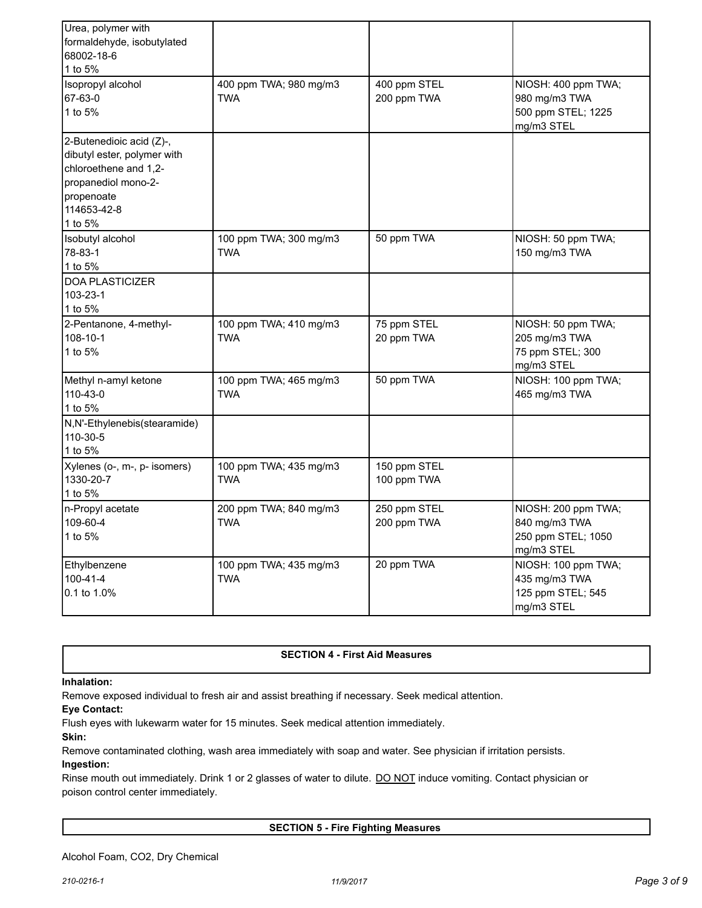| Urea, polymer with<br>formaldehyde, isobutylated<br>68002-18-6 |                        |              |                                  |
|----------------------------------------------------------------|------------------------|--------------|----------------------------------|
| 1 to 5%                                                        |                        |              |                                  |
| Isopropyl alcohol                                              | 400 ppm TWA; 980 mg/m3 | 400 ppm STEL | NIOSH: 400 ppm TWA;              |
| 67-63-0                                                        | <b>TWA</b>             | 200 ppm TWA  | 980 mg/m3 TWA                    |
| 1 to 5%                                                        |                        |              | 500 ppm STEL; 1225<br>mg/m3 STEL |
| 2-Butenedioic acid (Z)-,                                       |                        |              |                                  |
| dibutyl ester, polymer with                                    |                        |              |                                  |
| chloroethene and 1,2-                                          |                        |              |                                  |
| propanediol mono-2-                                            |                        |              |                                  |
| propenoate                                                     |                        |              |                                  |
| 114653-42-8                                                    |                        |              |                                  |
| 1 to 5%                                                        |                        |              |                                  |
| Isobutyl alcohol                                               | 100 ppm TWA; 300 mg/m3 | 50 ppm TWA   | NIOSH: 50 ppm TWA;               |
| 78-83-1                                                        | <b>TWA</b>             |              | 150 mg/m3 TWA                    |
| 1 to 5%                                                        |                        |              |                                  |
| <b>DOA PLASTICIZER</b>                                         |                        |              |                                  |
| 103-23-1                                                       |                        |              |                                  |
| 1 to 5%                                                        |                        |              |                                  |
| 2-Pentanone, 4-methyl-                                         | 100 ppm TWA; 410 mg/m3 | 75 ppm STEL  | NIOSH: 50 ppm TWA;               |
| 108-10-1                                                       | <b>TWA</b>             | 20 ppm TWA   | 205 mg/m3 TWA                    |
| 1 to 5%                                                        |                        |              | 75 ppm STEL; 300                 |
|                                                                |                        |              | mg/m3 STEL                       |
| Methyl n-amyl ketone                                           | 100 ppm TWA; 465 mg/m3 | 50 ppm TWA   | NIOSH: 100 ppm TWA;              |
| 110-43-0                                                       | <b>TWA</b>             |              | 465 mg/m3 TWA                    |
| 1 to 5%                                                        |                        |              |                                  |
| N,N'-Ethylenebis(stearamide)                                   |                        |              |                                  |
| 110-30-5                                                       |                        |              |                                  |
| 1 to 5%                                                        |                        |              |                                  |
| Xylenes (o-, m-, p- isomers)                                   | 100 ppm TWA; 435 mg/m3 | 150 ppm STEL |                                  |
| 1330-20-7                                                      | <b>TWA</b>             | 100 ppm TWA  |                                  |
| 1 to 5%                                                        |                        |              |                                  |
| n-Propyl acetate                                               | 200 ppm TWA; 840 mg/m3 | 250 ppm STEL | NIOSH: 200 ppm TWA;              |
| 109-60-4                                                       | <b>TWA</b>             | 200 ppm TWA  | 840 mg/m3 TWA                    |
| 1 to 5%                                                        |                        |              | 250 ppm STEL; 1050               |
|                                                                |                        |              | mg/m3 STEL                       |
| Ethylbenzene                                                   | 100 ppm TWA; 435 mg/m3 | 20 ppm TWA   | NIOSH: 100 ppm TWA;              |
| $100 - 41 - 4$                                                 | <b>TWA</b>             |              | 435 mg/m3 TWA                    |
| 0.1 to 1.0%                                                    |                        |              | 125 ppm STEL; 545                |
|                                                                |                        |              | mg/m3 STEL                       |
|                                                                |                        |              |                                  |

# **SECTION 4 - First Aid Measures**

# **Inhalation:**

Remove exposed individual to fresh air and assist breathing if necessary. Seek medical attention.

# **Eye Contact:**

Flush eyes with lukewarm water for 15 minutes. Seek medical attention immediately.

**Skin:**

Remove contaminated clothing, wash area immediately with soap and water. See physician if irritation persists.

# **Ingestion:**

Rinse mouth out immediately. Drink 1 or 2 glasses of water to dilute. DO NOT induce vomiting. Contact physician or poison control center immediately.

# **SECTION 5 - Fire Fighting Measures**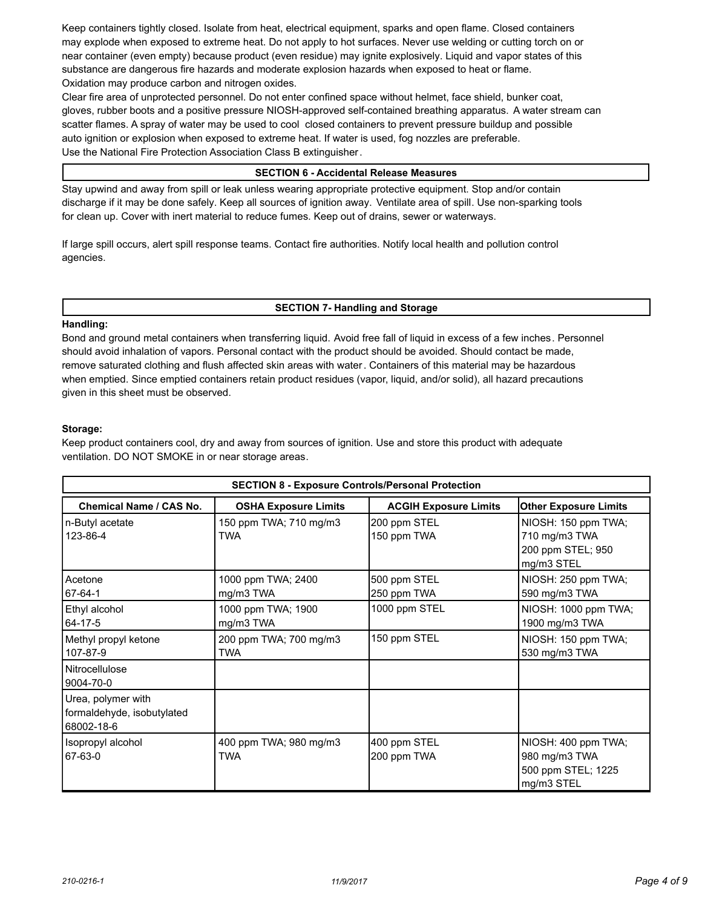Keep containers tightly closed. Isolate from heat, electrical equipment, sparks and open flame. Closed containers may explode when exposed to extreme heat. Do not apply to hot surfaces. Never use welding or cutting torch on or near container (even empty) because product (even residue) may ignite explosively. Liquid and vapor states of this substance are dangerous fire hazards and moderate explosion hazards when exposed to heat or flame. Oxidation may produce carbon and nitrogen oxides.

Clear fire area of unprotected personnel. Do not enter confined space without helmet, face shield, bunker coat, gloves, rubber boots and a positive pressure NIOSH-approved self-contained breathing apparatus. A water stream can scatter flames. A spray of water may be used to cool closed containers to prevent pressure buildup and possible auto ignition or explosion when exposed to extreme heat. If water is used, fog nozzles are preferable. Use the National Fire Protection Association Class B extinguisher.

# **SECTION 6 - Accidental Release Measures**

Stay upwind and away from spill or leak unless wearing appropriate protective equipment. Stop and/or contain discharge if it may be done safely. Keep all sources of ignition away. Ventilate area of spill. Use non-sparking tools for clean up. Cover with inert material to reduce fumes. Keep out of drains, sewer or waterways.

If large spill occurs, alert spill response teams. Contact fire authorities. Notify local health and pollution control agencies.

#### **SECTION 7- Handling and Storage**

#### **Handling:**

Bond and ground metal containers when transferring liquid. Avoid free fall of liquid in excess of a few inches. Personnel should avoid inhalation of vapors. Personal contact with the product should be avoided. Should contact be made, remove saturated clothing and flush affected skin areas with water. Containers of this material may be hazardous when emptied. Since emptied containers retain product residues (vapor, liquid, and/or solid), all hazard precautions given in this sheet must be observed.

# **Storage:**

Keep product containers cool, dry and away from sources of ignition. Use and store this product with adequate ventilation. DO NOT SMOKE in or near storage areas.

| <b>SECTION 8 - Exposure Controls/Personal Protection</b>       |                                      |                              |                                                                          |
|----------------------------------------------------------------|--------------------------------------|------------------------------|--------------------------------------------------------------------------|
| <b>Chemical Name / CAS No.</b>                                 | <b>OSHA Exposure Limits</b>          | <b>ACGIH Exposure Limits</b> | <b>Other Exposure Limits</b>                                             |
| n-Butyl acetate<br>123-86-4                                    | 150 ppm TWA; 710 mg/m3<br><b>TWA</b> | 200 ppm STEL<br>150 ppm TWA  | NIOSH: 150 ppm TWA;<br>710 mg/m3 TWA<br>200 ppm STEL; 950<br>mg/m3 STEL  |
| Acetone<br>67-64-1                                             | 1000 ppm TWA; 2400<br>mg/m3 TWA      | 500 ppm STEL<br>250 ppm TWA  | NIOSH: 250 ppm TWA;<br>590 mg/m3 TWA                                     |
| Ethyl alcohol<br>64-17-5                                       | 1000 ppm TWA; 1900<br>mg/m3 TWA      | 1000 ppm STEL                | NIOSH: 1000 ppm TWA;<br>1900 mg/m3 TWA                                   |
| Methyl propyl ketone<br>107-87-9                               | 200 ppm TWA; 700 mg/m3<br><b>TWA</b> | 150 ppm STEL                 | NIOSH: 150 ppm TWA;<br>530 mg/m3 TWA                                     |
| <b>Nitrocellulose</b><br>9004-70-0                             |                                      |                              |                                                                          |
| Urea, polymer with<br>formaldehyde, isobutylated<br>68002-18-6 |                                      |                              |                                                                          |
| Isopropyl alcohol<br>67-63-0                                   | 400 ppm TWA; 980 mg/m3<br><b>TWA</b> | 400 ppm STEL<br>200 ppm TWA  | NIOSH: 400 ppm TWA;<br>980 mg/m3 TWA<br>500 ppm STEL; 1225<br>mg/m3 STEL |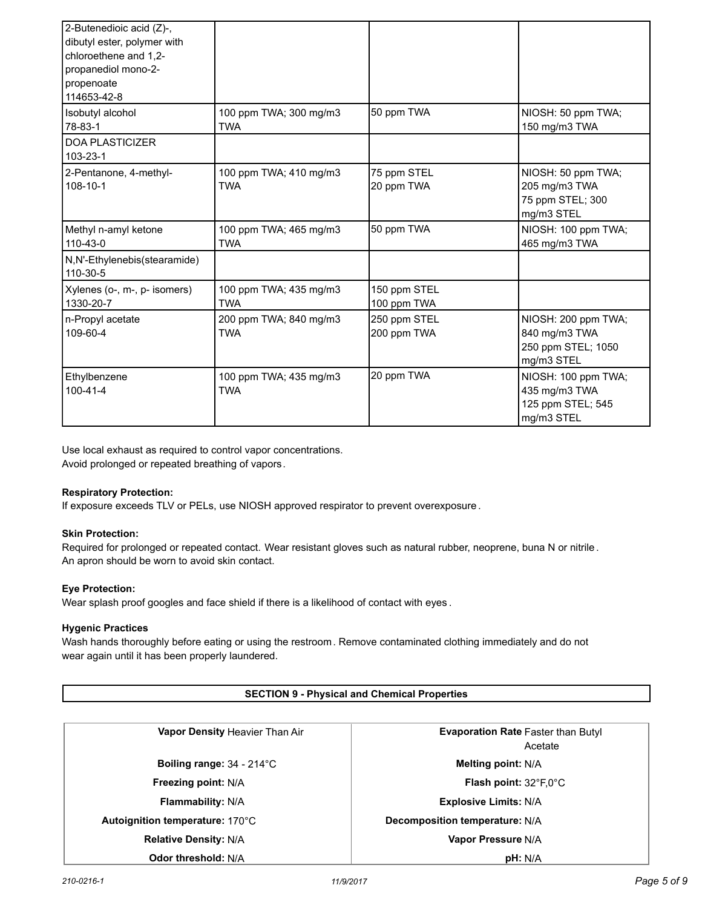| 2-Butenedioic acid (Z)-,<br>dibutyl ester, polymer with<br>chloroethene and 1,2-<br>propanediol mono-2-<br>propenoate<br>114653-42-8 |                                      |                             |                                                                          |
|--------------------------------------------------------------------------------------------------------------------------------------|--------------------------------------|-----------------------------|--------------------------------------------------------------------------|
| Isobutyl alcohol<br>78-83-1                                                                                                          | 100 ppm TWA; 300 mg/m3<br><b>TWA</b> | 50 ppm TWA                  | NIOSH: 50 ppm TWA;<br>150 mg/m3 TWA                                      |
| <b>DOA PLASTICIZER</b><br>103-23-1                                                                                                   |                                      |                             |                                                                          |
| 2-Pentanone, 4-methyl-<br>108-10-1                                                                                                   | 100 ppm TWA; 410 mg/m3<br><b>TWA</b> | 75 ppm STEL<br>20 ppm TWA   | NIOSH: 50 ppm TWA;<br>205 mg/m3 TWA<br>75 ppm STEL; 300<br>mg/m3 STEL    |
| Methyl n-amyl ketone<br>$110 - 43 - 0$                                                                                               | 100 ppm TWA; 465 mg/m3<br><b>TWA</b> | 50 ppm TWA                  | NIOSH: 100 ppm TWA;<br>465 mg/m3 TWA                                     |
| N,N'-Ethylenebis(stearamide)<br>110-30-5                                                                                             |                                      |                             |                                                                          |
| Xylenes (o-, m-, p- isomers)<br>1330-20-7                                                                                            | 100 ppm TWA; 435 mg/m3<br><b>TWA</b> | 150 ppm STEL<br>100 ppm TWA |                                                                          |
| n-Propyl acetate<br>109-60-4                                                                                                         | 200 ppm TWA; 840 mg/m3<br><b>TWA</b> | 250 ppm STEL<br>200 ppm TWA | NIOSH: 200 ppm TWA;<br>840 mg/m3 TWA<br>250 ppm STEL; 1050<br>mg/m3 STEL |
| Ethylbenzene<br>100-41-4                                                                                                             | 100 ppm TWA; 435 mg/m3<br><b>TWA</b> | 20 ppm TWA                  | NIOSH: 100 ppm TWA;<br>435 mg/m3 TWA<br>125 ppm STEL; 545<br>mg/m3 STEL  |

Use local exhaust as required to control vapor concentrations. Avoid prolonged or repeated breathing of vapors.

# **Respiratory Protection:**

If exposure exceeds TLV or PELs, use NIOSH approved respirator to prevent overexposure .

#### **Skin Protection:**

Required for prolonged or repeated contact. Wear resistant gloves such as natural rubber, neoprene, buna N or nitrile . An apron should be worn to avoid skin contact.

# **Eye Protection:**

Wear splash proof googles and face shield if there is a likelihood of contact with eyes .

# **Hygenic Practices**

Wash hands thoroughly before eating or using the restroom. Remove contaminated clothing immediately and do not wear again until it has been properly laundered.

| <b>SECTION 9 - Physical and Chemical Properties</b> |                                                      |  |
|-----------------------------------------------------|------------------------------------------------------|--|
| <b>Vapor Density Heavier Than Air</b>               | <b>Evaporation Rate Faster than Butyl</b><br>Acetate |  |
| Boiling range: $34 - 214^{\circ}$ C                 | <b>Melting point: N/A</b>                            |  |
| Freezing point: N/A                                 | Flash point: 32°F.0°C                                |  |
| Flammability: N/A                                   | <b>Explosive Limits: N/A</b>                         |  |
| Autoignition temperature: 170°C                     | Decomposition temperature: N/A                       |  |
| <b>Relative Density: N/A</b>                        | Vapor Pressure N/A                                   |  |
| <b>Odor threshold: N/A</b>                          | pH: N/A                                              |  |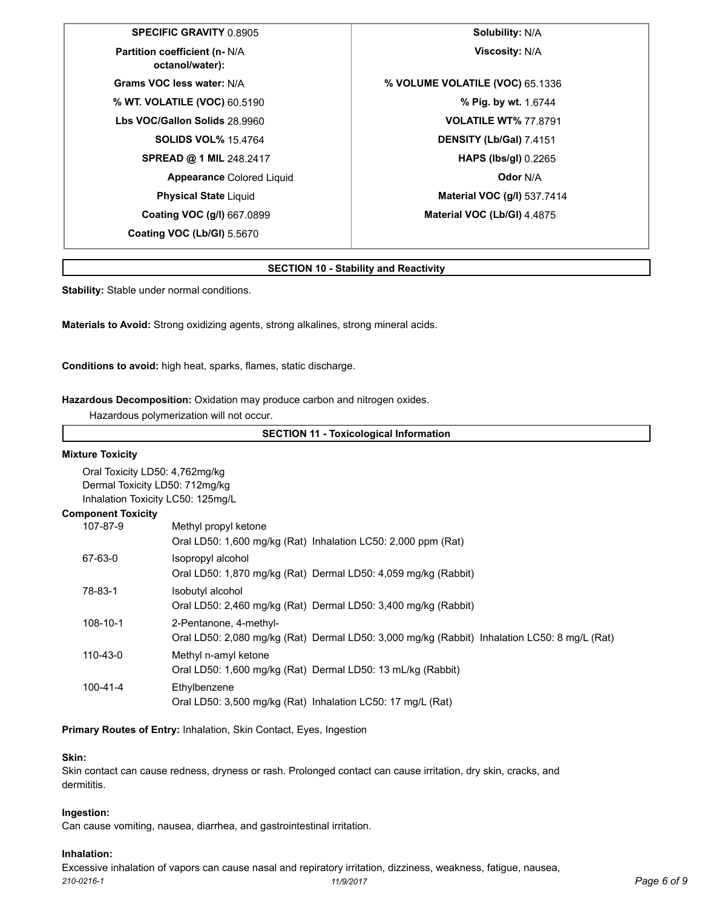**SPECIFIC GRAVITY** 0.8905 **Solubility:** N/A **Partition coefficient (n-** N/A **octanol/water): Grams VOC less water:** N/A **% VOLUME VOLATILE (VOC)** 65.1336 **% WT. VOLATILE (VOC)** 60.5190 **% Pig. by wt.** 1.6744 **Lbs VOC/Gallon Solids** 28.9960 **VOLATILE WT%** 77.8791 **Coating VOC (g/l)** 667.0899 **Material VOC (Lb/Gl)** 4.4875 **Coating VOC (Lb/Gl)** 5.5670

**Viscosity:** N/A **SOLIDS VOL%** 15.4764 **DENSITY (Lb/Gal)** 7.4151 **SPREAD @ 1 MIL** 248.2417 **HAPS (lbs/gl)** 0.2265 **Appearance** Colored Liquid **Odor** N/A **Physical State** Liquid **Material VOC (g/l)** 537.7414

#### **SECTION 10 - Stability and Reactivity**

**Stability:** Stable under normal conditions.

**Materials to Avoid:** Strong oxidizing agents, strong alkalines, strong mineral acids.

**Conditions to avoid:** high heat, sparks, flames, static discharge.

#### **Hazardous Decomposition:** Oxidation may produce carbon and nitrogen oxides.

Hazardous polymerization will not occur.

| <b>SECTION 11 - Toxicological Information</b> |                                                                                                                        |  |
|-----------------------------------------------|------------------------------------------------------------------------------------------------------------------------|--|
| <b>Mixture Toxicity</b>                       |                                                                                                                        |  |
|                                               | Oral Toxicity LD50: 4,762mg/kg<br>Dermal Toxicity LD50: 712mg/kg<br>Inhalation Toxicity LC50: 125mg/L                  |  |
| <b>Component Toxicity</b>                     |                                                                                                                        |  |
| 107-87-9                                      | Methyl propyl ketone<br>Oral LD50: 1,600 mg/kg (Rat) Inhalation LC50: 2,000 ppm (Rat)                                  |  |
| 67-63-0                                       | Isopropyl alcohol<br>Oral LD50: 1,870 mg/kg (Rat) Dermal LD50: 4,059 mg/kg (Rabbit)                                    |  |
| 78-83-1                                       | Isobutyl alcohol<br>Oral LD50: 2,460 mg/kg (Rat) Dermal LD50: 3,400 mg/kg (Rabbit)                                     |  |
| 108-10-1                                      | 2-Pentanone, 4-methyl-<br>Oral LD50: 2,080 mg/kg (Rat) Dermal LD50: 3,000 mg/kg (Rabbit) Inhalation LC50: 8 mg/L (Rat) |  |
| 110-43-0                                      | Methyl n-amyl ketone<br>Oral LD50: 1,600 mg/kg (Rat) Dermal LD50: 13 mL/kg (Rabbit)                                    |  |
| 100-41-4                                      | Ethylbenzene<br>Oral LD50: 3,500 mg/kg (Rat) Inhalation LC50: 17 mg/L (Rat)                                            |  |

**Primary Routes of Entry:** Inhalation, Skin Contact, Eyes, Ingestion

#### **Skin:**

Skin contact can cause redness, dryness or rash. Prolonged contact can cause irritation, dry skin, cracks, and dermititis.

#### **Ingestion:**

Can cause vomiting, nausea, diarrhea, and gastrointestinal irritation.

#### **Inhalation:**

Excessive inhalation of vapors can cause nasal and repiratory irritation, dizziness, weakness, fatigue, nausea, *210-0216-1 11/9/2017 Page 6 of 9*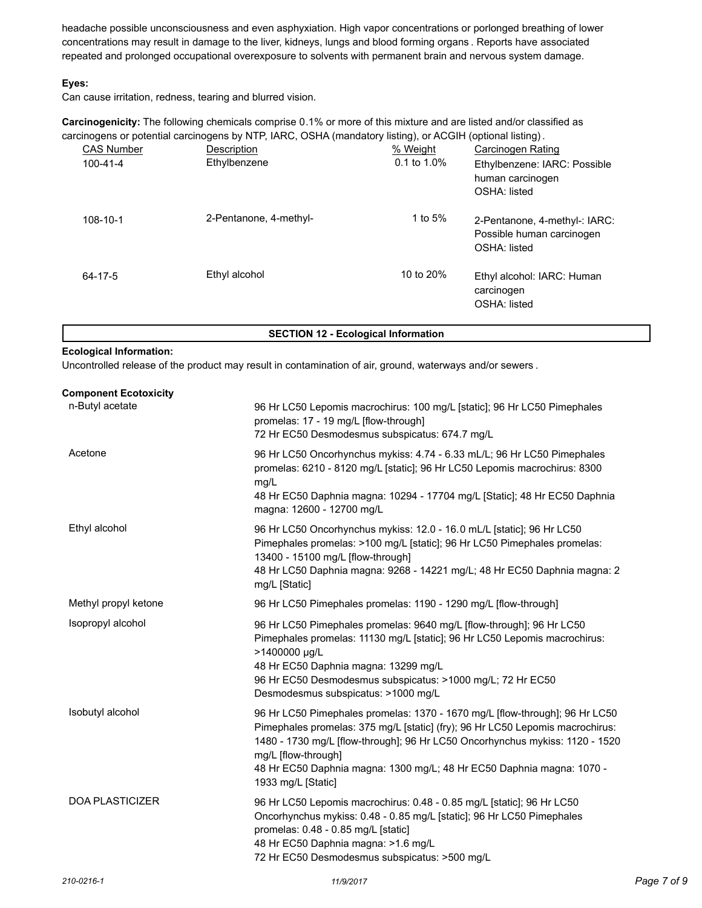headache possible unconsciousness and even asphyxiation. High vapor concentrations or porlonged breathing of lower concentrations may result in damage to the liver, kidneys, lungs and blood forming organs . Reports have associated repeated and prolonged occupational overexposure to solvents with permanent brain and nervous system damage.

# **Eyes:**

Can cause irritation, redness, tearing and blurred vision.

**Carcinogenicity:** The following chemicals comprise 0.1% or more of this mixture and are listed and/or classified as carcinogens or potential carcinogens by NTP, IARC, OSHA (mandatory listing), or ACGIH (optional listing).

| <b>CAS Number</b><br>$100 - 41 - 4$ | Description<br>Ethylbenzene | % Weight<br>0.1 to 1.0% | <b>Carcinogen Rating</b><br>Ethylbenzene: IARC: Possible<br>human carcinogen<br>OSHA: listed |
|-------------------------------------|-----------------------------|-------------------------|----------------------------------------------------------------------------------------------|
| 108-10-1                            | 2-Pentanone, 4-methyl-      | 1 to $5%$               | 2-Pentanone, 4-methyl-: IARC:<br>Possible human carcinogen<br>OSHA: listed                   |
| 64-17-5                             | Ethyl alcohol               | 10 to 20%               | Ethyl alcohol: IARC: Human<br>carcinogen<br>OSHA: listed                                     |

# **SECTION 12 - Ecological Information**

#### **Ecological Information:**

Uncontrolled release of the product may result in contamination of air, ground, waterways and/or sewers .

#### **Component Ecotoxicity**

| n-Butyl acetate        | 96 Hr LC50 Lepomis macrochirus: 100 mg/L [static]; 96 Hr LC50 Pimephales<br>promelas: 17 - 19 mg/L [flow-through]<br>72 Hr EC50 Desmodesmus subspicatus: 674.7 mg/L                                                                                                                                                                                                |
|------------------------|--------------------------------------------------------------------------------------------------------------------------------------------------------------------------------------------------------------------------------------------------------------------------------------------------------------------------------------------------------------------|
| Acetone                | 96 Hr LC50 Oncorhynchus mykiss: 4.74 - 6.33 mL/L; 96 Hr LC50 Pimephales<br>promelas: 6210 - 8120 mg/L [static]; 96 Hr LC50 Lepomis macrochirus: 8300<br>mg/L<br>48 Hr EC50 Daphnia magna: 10294 - 17704 mg/L [Static]; 48 Hr EC50 Daphnia<br>magna: 12600 - 12700 mg/L                                                                                             |
| Ethyl alcohol          | 96 Hr LC50 Oncorhynchus mykiss: 12.0 - 16.0 mL/L [static]; 96 Hr LC50<br>Pimephales promelas: >100 mg/L [static]; 96 Hr LC50 Pimephales promelas:<br>13400 - 15100 mg/L [flow-through]<br>48 Hr LC50 Daphnia magna: 9268 - 14221 mg/L; 48 Hr EC50 Daphnia magna: 2<br>mg/L [Static]                                                                                |
| Methyl propyl ketone   | 96 Hr LC50 Pimephales promelas: 1190 - 1290 mg/L [flow-through]                                                                                                                                                                                                                                                                                                    |
| Isopropyl alcohol      | 96 Hr LC50 Pimephales promelas: 9640 mg/L [flow-through]; 96 Hr LC50<br>Pimephales promelas: 11130 mg/L [static]; 96 Hr LC50 Lepomis macrochirus:<br>>1400000 µg/L<br>48 Hr EC50 Daphnia magna: 13299 mg/L<br>96 Hr EC50 Desmodesmus subspicatus: >1000 mg/L; 72 Hr EC50<br>Desmodesmus subspicatus: >1000 mg/L                                                    |
| Isobutyl alcohol       | 96 Hr LC50 Pimephales promelas: 1370 - 1670 mg/L [flow-through]; 96 Hr LC50<br>Pimephales promelas: 375 mg/L [static] (fry); 96 Hr LC50 Lepomis macrochirus:<br>1480 - 1730 mg/L [flow-through]; 96 Hr LC50 Oncorhynchus mykiss: 1120 - 1520<br>mg/L [flow-through]<br>48 Hr EC50 Daphnia magna: 1300 mg/L; 48 Hr EC50 Daphnia magna: 1070 -<br>1933 mg/L [Static] |
| <b>DOA PLASTICIZER</b> | 96 Hr LC50 Lepomis macrochirus: 0.48 - 0.85 mg/L [static]; 96 Hr LC50<br>Oncorhynchus mykiss: 0.48 - 0.85 mg/L [static]; 96 Hr LC50 Pimephales<br>promelas: 0.48 - 0.85 mg/L [static]<br>48 Hr EC50 Daphnia magna: >1.6 mg/L<br>72 Hr EC50 Desmodesmus subspicatus: >500 mg/L                                                                                      |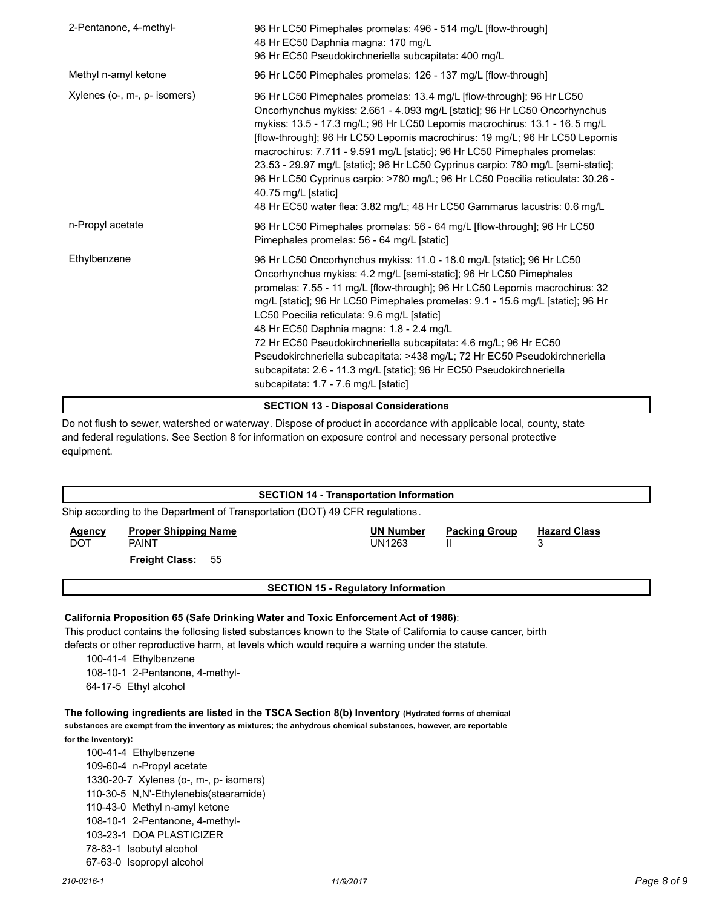| 2-Pentanone, 4-methyl-                      | 96 Hr LC50 Pimephales promelas: 496 - 514 mg/L [flow-through]<br>48 Hr EC50 Daphnia magna: 170 mg/L<br>96 Hr EC50 Pseudokirchneriella subcapitata: 400 mg/L                                                                                                                                                                                                                                                                                                                                                                                                                                                                                                                |  |  |  |
|---------------------------------------------|----------------------------------------------------------------------------------------------------------------------------------------------------------------------------------------------------------------------------------------------------------------------------------------------------------------------------------------------------------------------------------------------------------------------------------------------------------------------------------------------------------------------------------------------------------------------------------------------------------------------------------------------------------------------------|--|--|--|
| Methyl n-amyl ketone                        | 96 Hr LC50 Pimephales promelas: 126 - 137 mg/L [flow-through]                                                                                                                                                                                                                                                                                                                                                                                                                                                                                                                                                                                                              |  |  |  |
| Xylenes (o-, m-, p- isomers)                | 96 Hr LC50 Pimephales promelas: 13.4 mg/L [flow-through]; 96 Hr LC50<br>Oncorhynchus mykiss: 2.661 - 4.093 mg/L [static]; 96 Hr LC50 Oncorhynchus<br>mykiss: 13.5 - 17.3 mg/L; 96 Hr LC50 Lepomis macrochirus: 13.1 - 16.5 mg/L<br>[flow-through]; 96 Hr LC50 Lepomis macrochirus: 19 mg/L; 96 Hr LC50 Lepomis<br>macrochirus: 7.711 - 9.591 mg/L [static]; 96 Hr LC50 Pimephales promelas:<br>23.53 - 29.97 mg/L [static]; 96 Hr LC50 Cyprinus carpio: 780 mg/L [semi-static];<br>96 Hr LC50 Cyprinus carpio: >780 mg/L; 96 Hr LC50 Poecilia reticulata: 30.26 -<br>40.75 mg/L [static]<br>48 Hr EC50 water flea: 3.82 mg/L; 48 Hr LC50 Gammarus lacustris: 0.6 mg/L      |  |  |  |
| n-Propyl acetate                            | 96 Hr LC50 Pimephales promelas: 56 - 64 mg/L [flow-through]; 96 Hr LC50<br>Pimephales promelas: 56 - 64 mg/L [static]                                                                                                                                                                                                                                                                                                                                                                                                                                                                                                                                                      |  |  |  |
| Ethylbenzene                                | 96 Hr LC50 Oncorhynchus mykiss: 11.0 - 18.0 mg/L [static]; 96 Hr LC50<br>Oncorhynchus mykiss: 4.2 mg/L [semi-static]; 96 Hr LC50 Pimephales<br>promelas: 7.55 - 11 mg/L [flow-through]; 96 Hr LC50 Lepomis macrochirus: 32<br>mg/L [static]; 96 Hr LC50 Pimephales promelas: 9.1 - 15.6 mg/L [static]; 96 Hr<br>LC50 Poecilia reticulata: 9.6 mg/L [static]<br>48 Hr EC50 Daphnia magna: 1.8 - 2.4 mg/L<br>72 Hr EC50 Pseudokirchneriella subcapitata: 4.6 mg/L; 96 Hr EC50<br>Pseudokirchneriella subcapitata: >438 mg/L; 72 Hr EC50 Pseudokirchneriella<br>subcapitata: 2.6 - 11.3 mg/L [static]; 96 Hr EC50 Pseudokirchneriella<br>subcapitata: 1.7 - 7.6 mg/L [static] |  |  |  |
| <b>SECTION 13 - Disposal Considerations</b> |                                                                                                                                                                                                                                                                                                                                                                                                                                                                                                                                                                                                                                                                            |  |  |  |

Do not flush to sewer, watershed or waterway. Dispose of product in accordance with applicable local, county, state and federal regulations. See Section 8 for information on exposure control and necessary personal protective equipment.

| <b>SECTION 14 - Transportation Information</b>                               |                                             |  |                                            |                      |                     |  |  |
|------------------------------------------------------------------------------|---------------------------------------------|--|--------------------------------------------|----------------------|---------------------|--|--|
| Ship according to the Department of Transportation (DOT) 49 CFR regulations. |                                             |  |                                            |                      |                     |  |  |
| Agency<br><b>DOT</b>                                                         | <b>Proper Shipping Name</b><br><b>PAINT</b> |  | <b>UN Number</b><br>UN1263                 | <b>Packing Group</b> | <b>Hazard Class</b> |  |  |
|                                                                              | <b>Freight Class: 55</b>                    |  | <b>SECTION 15 - Regulatory Information</b> |                      |                     |  |  |

# **California Proposition 65 (Safe Drinking Water and Toxic Enforcement Act of 1986)**:

This product contains the follosing listed substances known to the State of California to cause cancer, birth defects or other reproductive harm, at levels which would require a warning under the statute.

100-41-4 Ethylbenzene

108-10-1 2-Pentanone, 4-methyl-

64-17-5 Ethyl alcohol

**The following ingredients are listed in the TSCA Section 8(b) Inventory (Hydrated forms of chemical substances are exempt from the inventory as mixtures; the anhydrous chemical substances, however, are reportable for the Inventory):**

100-41-4 Ethylbenzene 109-60-4 n-Propyl acetate 1330-20-7 Xylenes (o-, m-, p- isomers) 110-30-5 N,N'-Ethylenebis(stearamide) 110-43-0 Methyl n-amyl ketone 108-10-1 2-Pentanone, 4-methyl-103-23-1 DOA PLASTICIZER 78-83-1 Isobutyl alcohol 67-63-0 Isopropyl alcohol